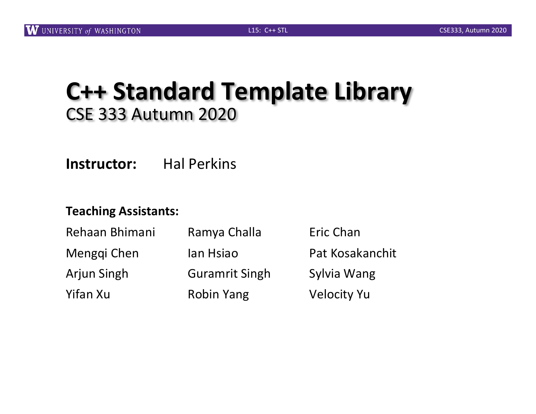### **C++ Standard Template Library** CSE 333 Autumn 2020

**Instructor:** Hal Perkins

#### **Teaching Assistants:**

| Rehaan Bhimani<br>Menggi Chen | Ramya Challa<br>lan Hsiao | Eric Chan<br>Pat Kosakanchit |
|-------------------------------|---------------------------|------------------------------|
|                               |                           |                              |
| Yifan Xu                      | <b>Robin Yang</b>         | <b>Velocity Yu</b>           |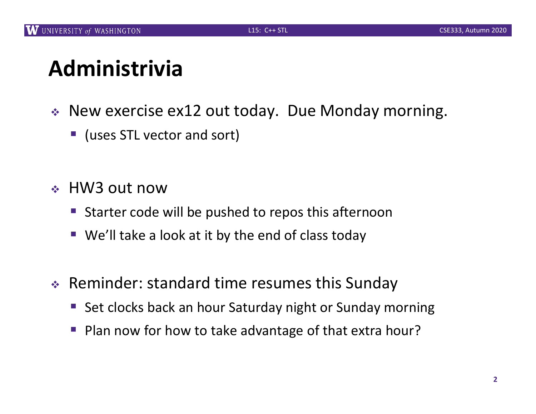## **Administrivia**

- $\cdot$  New exercise ex12 out today. Due Monday morning.
	- (uses STL vector and sort)
- <sup>v</sup> HW3 out now
	- Starter code will be pushed to repos this afternoon
	- We'll take a look at it by the end of class today
- $\triangleleft$  Reminder: standard time resumes this Sunday
	- Set clocks back an hour Saturday night or Sunday morning
	- § Plan now for how to take advantage of that extra hour?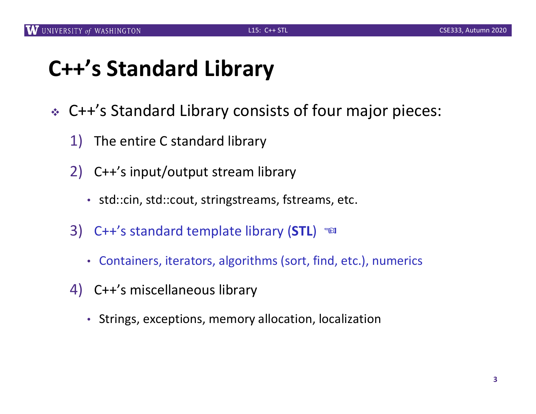# **C++'s Standard Library**

- <sup>v</sup> C++'s Standard Library consists of four major pieces:
	- 1) The entire C standard library
	- 2) C++'s input/output stream library
		- std::cin, std::cout, stringstreams, fstreams, etc.
	- 3) C++'s standard template library (**STL**) ☜
		- Containers, iterators, algorithms (sort, find, etc.), numerics
	- 4) C++'s miscellaneous library
		- Strings, exceptions, memory allocation, localization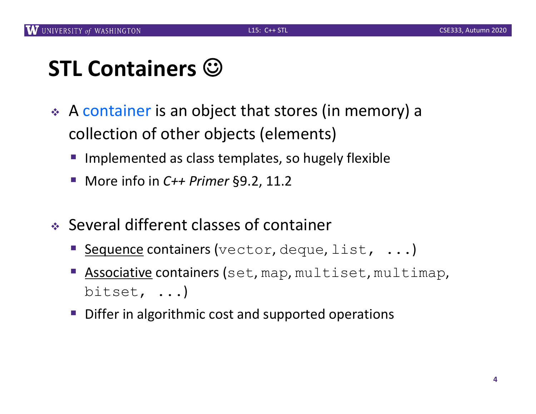# **STL Containers**  $\odot$

- \* A container is an object that stores (in memory) a collection of other objects (elements)
	- Implemented as class templates, so hugely flexible
	- More info in *C++ Primer* §9.2, 11.2
- $\cdot$  Several different classes of container
	- Sequence containers (vector, deque, list, ...)
	- Associative containers (set, map, multiset, multimap, bitset, ...)
	- Differ in algorithmic cost and supported operations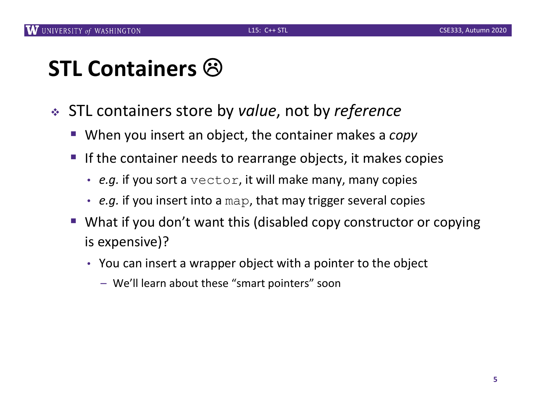# **STL Containers 8**

- <sup>v</sup> STL containers store by *value*, not by *reference*
	- When you insert an object, the container makes a *copy*
	- If the container needs to rearrange objects, it makes copies
		- *e.g.* if you sort a vector, it will make many, many copies
		- *e.g.* if you insert into a map, that may trigger several copies
	- What if you don't want this (disabled copy constructor or copying is expensive)?
		- You can insert a wrapper object with a pointer to the object
			- We'll learn about these "smart pointers" soon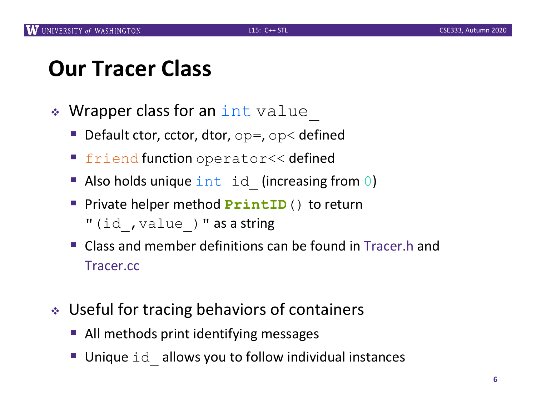#### **Our Tracer Class**

- Wrapper class for an int value
	- **Default ctor, cctor, dtor,** op=, op< defined
	- **Firiend function** operator<< defined
	- Also holds unique  $int$  id (increasing from 0)
	- § Private helper method **PrintID**() to return "(id, value) " as a string
	- Class and member definitions can be found in Tracer.h and Tracer.cc
- ↓ Useful for tracing behaviors of containers
	- All methods print identifying messages
	- Unique id allows you to follow individual instances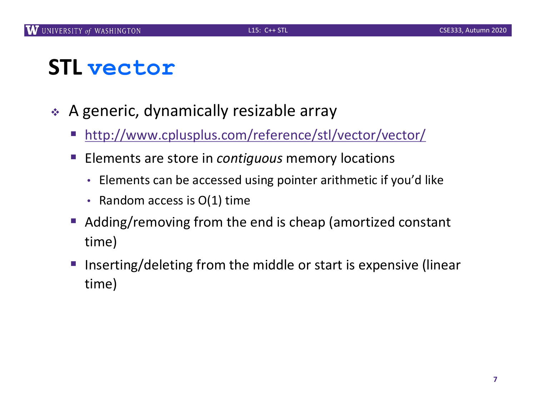# **STL vector**

- $\triangle$  A generic, dynamically resizable array
	- [http://www.cplusplus.com/reference/stl/vector/vec](http://www.cplusplus.com/reference/stl/vector/vector/)tor/
	- § Elements are store in *contiguous* memory locations
		- Elements can be accessed using pointer arithmetic if you'd like
		- Random access is O(1) time
	- Adding/removing from the end is cheap (amortized constant time)
	- Inserting/deleting from the middle or start is expensive (linear time)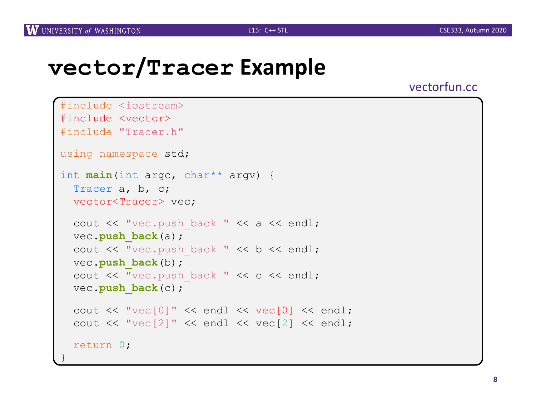#### **vector/Tracer Example**

vectorfun.cc

```
#include <iostream>
#include <vector>
#include "Tracer.h"
using namespace std;
int main(int argc, char** argv) {
  Tracer a, b, c;
 vector<Tracer> vec;
  cout << "vec.push back " << a << endl;
 vec.push_back(a);
  cout << "vec.push back " << b << endl;
  vec.push_back(b);
  cout << "vec.push back " << c << endl;
  vec.push_back(c);
  cout << "vec[0]" << endl << vec[0] << endl;
  cout << "vec[2]" << endl << vec[2] << endl;
  return 0;
}
```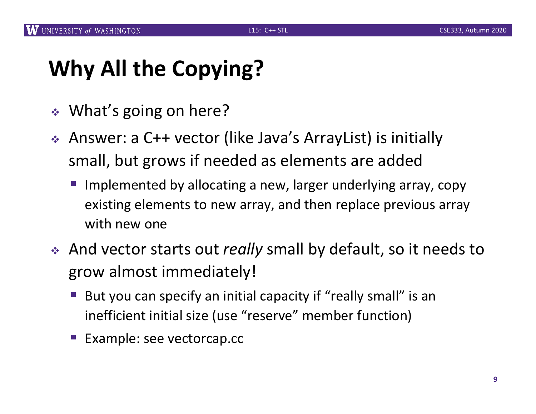# **Why All the Copying?**

- $\div$  What's going on here?
- ◆ Answer: a C++ vector (like Java's ArrayList) is initially small, but grows if needed as elements are added
	- Implemented by allocating a new, larger underlying array, copy existing elements to new array, and then replace previous array with new one
- \* And vector starts out *really* small by default, so it needs to grow almost immediately!
	- But you can specify an initial capacity if "really small" is an inefficient initial size (use "reserve" member function)
	- § Example: see vectorcap.cc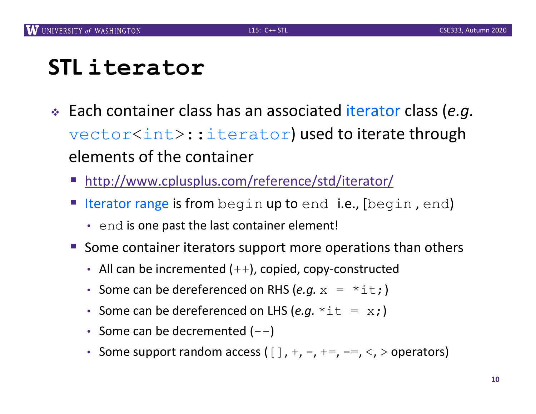## **STL iterator**

- <sup>v</sup> Each container class has an associated iterator class (*e.g.* vector<int>::iterator) used to iterate through elements of the container
	- [http://www.cplusplus.com/reference/std/itera](http://www.cplusplus.com/reference/std/iterator/)tor/
	- Iterator range is from begin up to end i.e., [begin, end)
		- end is one past the last container element!
	- Some container iterators support more operations than others
		- All can be incremented  $(++)$ , copied, copy-constructed
		- Some can be dereferenced on RHS  $(e.g. x = *it; )$
		- Some can be dereferenced on LHS  $(e.g. *it = x; )$
		- Some can be decremented  $(--)$
		- Some support random access ( $[$ ], +, -, +=, -=, <, > operators)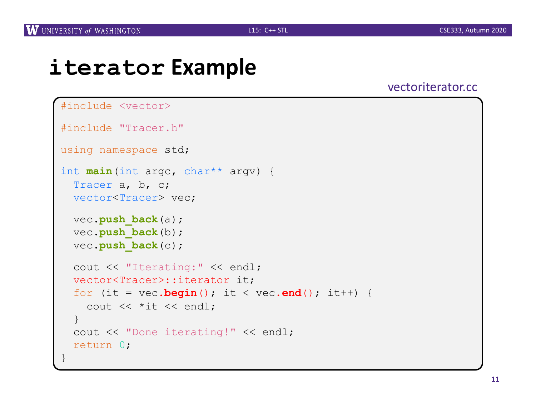#### **iterator Example**

#### vectoriterator.cc

```
#include <vector>
#include "Tracer.h"
using namespace std;
int main(int argc, char** argv) {
 Tracer a, b, c;
 vector<Tracer> vec;
 vec.push_back(a);
 vec.push back(b);
 vec.push_back(c);
  cout << "Iterating:" << endl;
  vector<Tracer>::iterator it;
  for (it = vec.begin(); it < vec.end(); it++) {
    cout << *it << endl;
  }
  cout << "Done iterating!" << endl;
  return 0;
}
```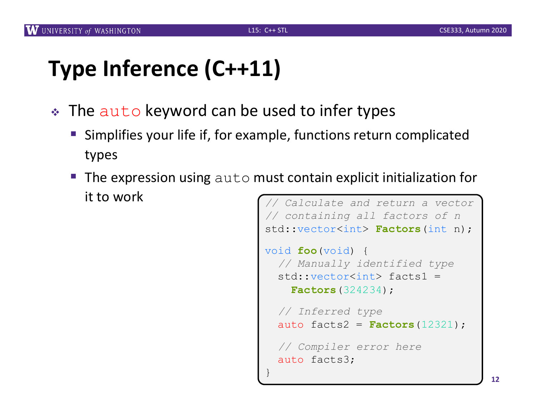# **Type Inference (C++11)**

- The auto keyword can be used to infer types
	- Simplifies your life if, for example, functions return complicated types
	- **The expression using**  $aut \circ \mathsf{must}$  contain explicit initialization for it to work *// Calculate and return a vector*

```
// containing all factors of n
std::vector<int> Factors(int n);
void foo(void) {
  // Manually identified type
  std::vector<int> facts1 = 
    Factors(324234);
  // Inferred type
  auto facts2 = Factors(12321);
  // Compiler error here
  auto facts3;
}
```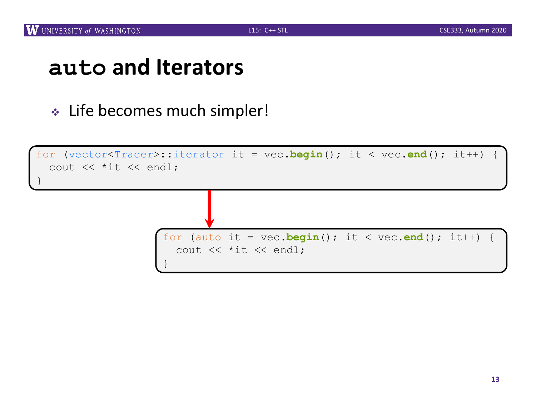#### **auto and Iterators**

**Exampler!**  $\cdot$  Life becomes much simpler!

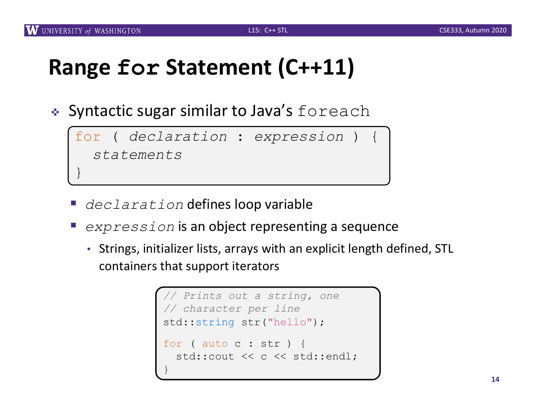# **Range for Statement (C++11)**

 $\bullet$  Syntactic sugar similar to Java's foreach

 $for$  ( *declaration* : *expression* ) { *statements* }

- § *declaration* defines loop variable
- § *expression* is an object representing a sequence
	- Strings, initializer lists, arrays with an explicit length defined, STL containers that support iterators

```
// Prints out a string, one
// character per line
std::string str("hello");
for ( auto c : str ) {
  std:: cout << c << std:: endl;
}
```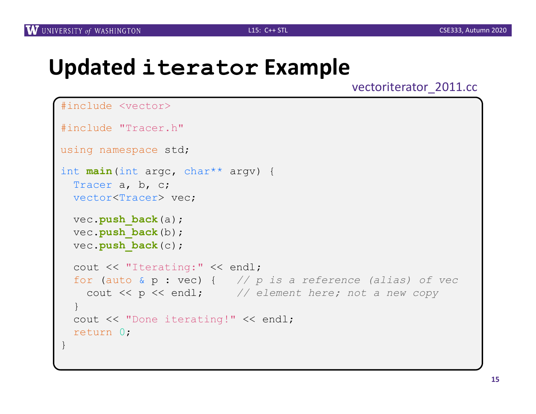#### **Updated iterator Example**

vectoriterator\_2011.cc

```
#include <vector>
#include "Tracer.h"
using namespace std;
int main(int argc, char** argv) {
 Tracer a, b, c;
 vector<Tracer> vec;
 vec.push_back(a);
 vec.push back(b);
 vec.push_back(c);
  cout << "Iterating:" << endl;
 for (auto & p : vec) { // p is a reference (alias) of vec
    cout << p << endl; // element here; not a new copy
  }
 cout << "Done iterating!" << endl;
 return 0;
}
```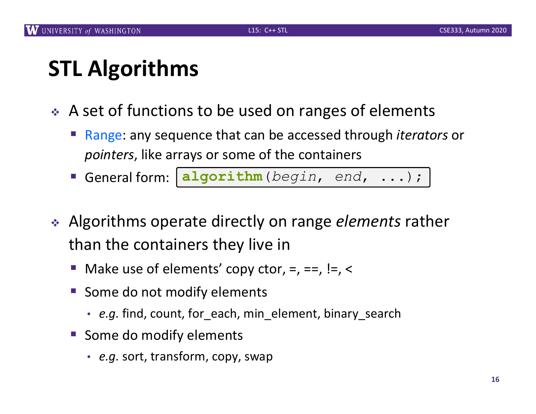# **STL Algorithms**

- $\div$  A set of functions to be used on ranges of elements
	- § Range: any sequence that can be accessed through *iterators* or *pointers*, like arrays or some of the containers
	- § General form: **algorithm**(*begin*, *end*, ...);
- ◆ Algorithms operate directly on range *elements* rather than the containers they live in
	- Make use of elements' copy ctor,  $=$ ,  $=$ ,  $!=$ ,  $\le$
	- § Some do not modify elements
		- *e.g.* find, count, for\_each, min\_element, binary\_search
	- Some do modify elements
		- *e.g.* sort, transform, copy, swap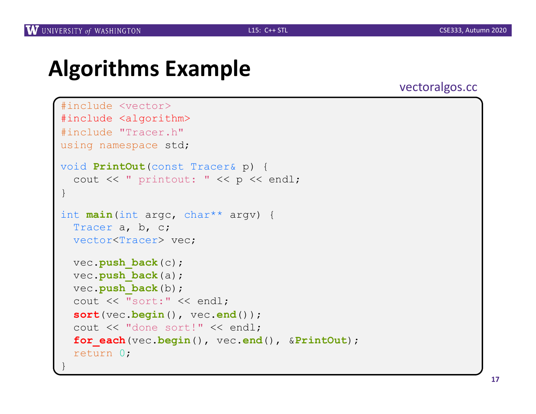### **Algorithms Example**

#### vectoralgos.cc

```
#include <vector>
#include <algorithm>
#include "Tracer.h"
using namespace std;
void PrintOut(const Tracer& p) {
  cout << " printout: " << p << endl;
}
int main(int argc, char** argv) {
  Tracer a, b, c;
  vector<Tracer> vec;
  vec.push_back(c);
 vec.push_back(a);
  vec.push back(b);
  cout << "sort:" << endl;
  sort(vec.begin(), vec.end());
  cout << "done sort!" << endl;
  for_each(vec.begin(), vec.end(), &PrintOut);
  return 0;
}
```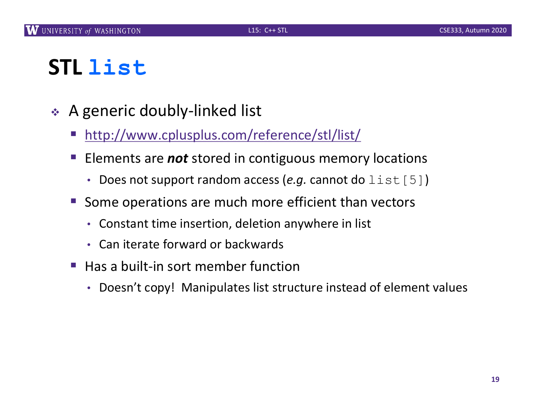## **STL list**

- $\triangleleft$  A generic doubly-linked list
	- § [http://www.cplusplus.com/reference/stl/](http://www.cplusplus.com/reference/stl/list/)list/
	- § Elements are *not* stored in contiguous memory locations
		- Does not support random access (*e.g.* cannot do list [5])
	- § Some operations are much more efficient than vectors
		- Constant time insertion, deletion anywhere in list
		- Can iterate forward or backwards
	- § Has a built-in sort member function
		- Doesn't copy! Manipulates list structure instead of element values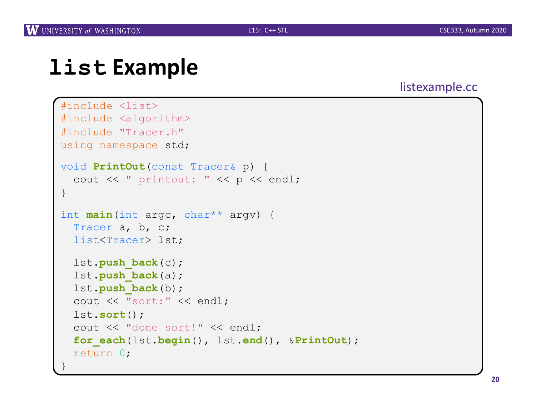### **list Example**

#### listexample.cc

```
#include <list>
#include <algorithm>
#include "Tracer.h"
using namespace std;
void PrintOut(const Tracer& p) {
  cout << " printout: " << p << endl;
}
int main(int argc, char** argv) {
  Tracer a, b, c;
  list<Tracer> lst;
  lst.push_back(c);
  lst.push_back(a);
  lst.push_back(b);
  cout << "sort:" << endl;
  lst.sort();
  cout << "done sort!" << endl;
  for_each(lst.begin(), lst.end(), &PrintOut);
  return 0;
}
```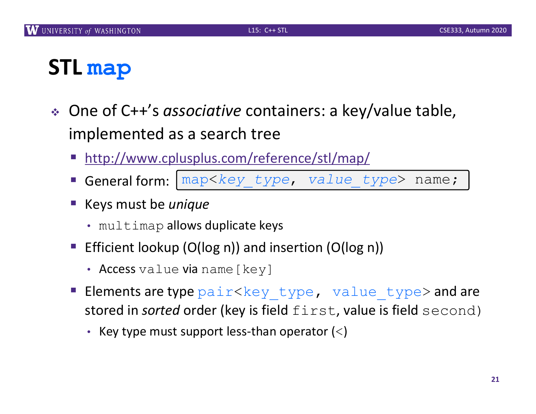## **STL map**

- <sup>v</sup> One of C++'s *associative* containers: a key/value table, implemented as a search tree
	- [http://www.cplusplus.com/reference/stl/m](http://www.cplusplus.com/reference/stl/map/)ap/
	- § General form: map<*key\_type*, *value\_type*> name;
	- § Keys must be *unique*
		- multimap allows duplicate keys
	- Efficient lookup (O(log n)) and insertion (O(log n))
		- Access value via name [key]
	- Elements are type  $pair < key$  type, value type> and are stored in *sorted* order (key is field first, value is field second)
		- Key type must support less-than operator  $(<)$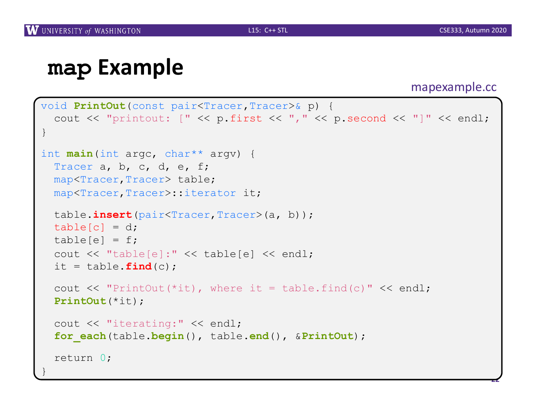}

**22**

#### **map Example**

#### mapexample.cc

```
void PrintOut(const pair<Tracer,Tracer>& p) {
  cout << "printout: [" << p.first << "," << p.second << "]" << endl;
}
int main(int argc, char** argv) {
 Tracer a, b, c, d, e, f;
 map<Tracer,Tracer> table;
 map<Tracer,Tracer>::iterator it;
 table.insert(pair<Tracer,Tracer>(a, b));
 table[c] = d;table[e] = f;cout << "table[e]:" << table[e] << endl;
 it = table. find(c);
  cout \lt\lt "PrintOut(*it), where it = table.find(c)" \lt\lt endl;
 PrintOut(*it);
  cout << "iterating:" << endl;
  for_each(table.begin(), table.end(), &PrintOut);
  return 0;
```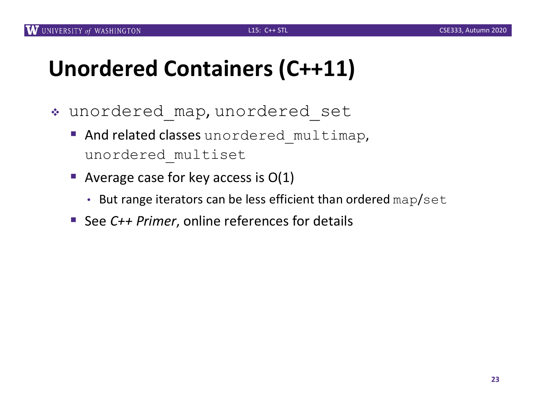# **Unordered Containers (C++11)**

- \* unordered map, unordered set
	- **And related classes** unordered multimap, unordered\_multiset
	- Average case for key access is  $O(1)$ 
		- But range iterators can be less efficient than ordered map/set
	- See *C++ Primer*, online references for details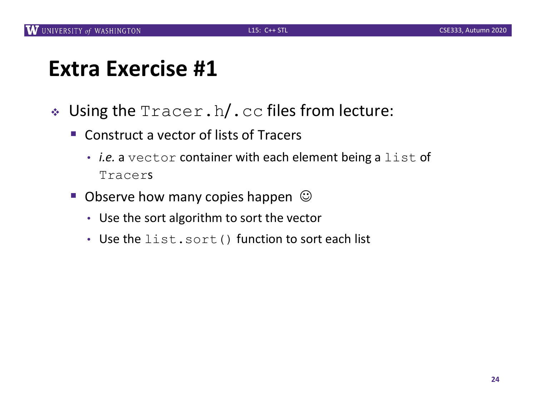### **Extra Exercise #1**

- $\bullet$  Using the  $\text{Tracer}.\text{h}/\text{c}$  cc files from lecture:
	- Construct a vector of lists of Tracers
		- *i.e.* a vector container with each element being a list of Tracers
	- **Observe how many copies happen**  $\odot$ 
		- Use the sort algorithm to sort the vector
		- Use the list.sort() function to sort each list